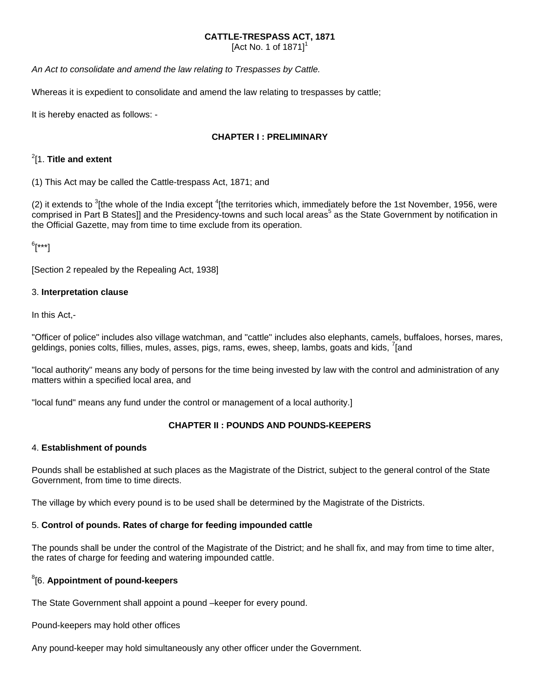## **CATTLE-TRESPASS ACT, 1871**

[Act No. 1 of  $1871$ ]<sup>1</sup>

*An Act to consolidate and amend the law relating to Trespasses by Cattle.*

Whereas it is expedient to consolidate and amend the law relating to trespasses by cattle;

It is hereby enacted as follows: -

## **CHAPTER I : PRELIMINARY**

# 2 [1. **Title and extent**

(1) This Act may be called the Cattle-trespass Act, 1871; and

(2) it extends to  $3$ [the whole of the India except  $4$ [the territories which, immediately before the 1st November, 1956, were comprised in Part B States]] and the Presidency-towns and such local areas<sup>5</sup> as the State Government by notification in the Official Gazette, may from time to time exclude from its operation.

6 [\*\*\*]

[Section 2 repealed by the Repealing Act, 1938]

## 3. **Interpretation clause**

In this Act,-

"Officer of police" includes also village watchman, and "cattle" includes also elephants, camels, buffaloes, horses, mares, geldings, ponies colts, fillies, mules, asses, pigs, rams, ewes, sheep, lambs, goats and kids, <sup>7</sup>[and

"local authority" means any body of persons for the time being invested by law with the control and administration of any matters within a specified local area, and

"local fund" means any fund under the control or management of a local authority.]

## **CHAPTER II : POUNDS AND POUNDS-KEEPERS**

#### 4. **Establishment of pounds**

Pounds shall be established at such places as the Magistrate of the District, subject to the general control of the State Government, from time to time directs.

The village by which every pound is to be used shall be determined by the Magistrate of the Districts.

## 5. **Control of pounds. Rates of charge for feeding impounded cattle**

The pounds shall be under the control of the Magistrate of the District; and he shall fix, and may from time to time alter, the rates of charge for feeding and watering impounded cattle.

# 8 [6. **Appointment of pound-keepers**

The State Government shall appoint a pound –keeper for every pound.

Pound-keepers may hold other offices

Any pound-keeper may hold simultaneously any other officer under the Government.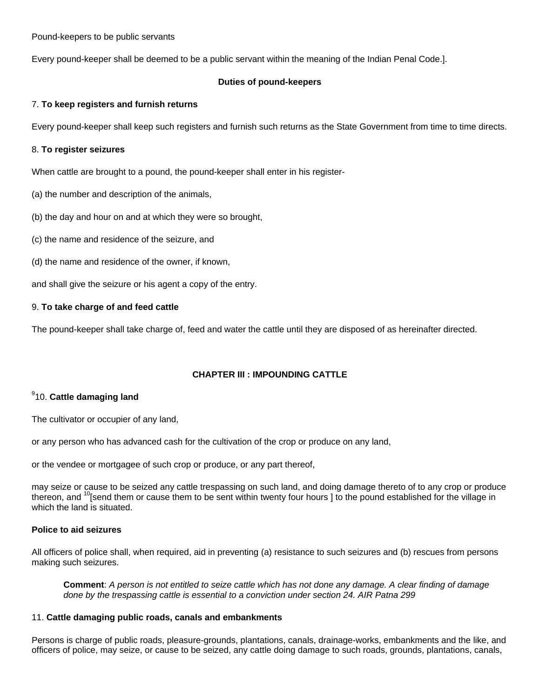Pound-keepers to be public servants

Every pound-keeper shall be deemed to be a public servant within the meaning of the Indian Penal Code.].

## **Duties of pound-keepers**

### 7. **To keep registers and furnish returns**

Every pound-keeper shall keep such registers and furnish such returns as the State Government from time to time directs.

#### 8. **To register seizures**

When cattle are brought to a pound, the pound-keeper shall enter in his register-

- (a) the number and description of the animals,
- (b) the day and hour on and at which they were so brought,
- (c) the name and residence of the seizure, and
- (d) the name and residence of the owner, if known,

and shall give the seizure or his agent a copy of the entry.

## 9. **To take charge of and feed cattle**

The pound-keeper shall take charge of, feed and water the cattle until they are disposed of as hereinafter directed.

## **CHAPTER III : IMPOUNDING CATTLE**

## 9 10. **Cattle damaging land**

The cultivator or occupier of any land,

or any person who has advanced cash for the cultivation of the crop or produce on any land,

or the vendee or mortgagee of such crop or produce, or any part thereof,

may seize or cause to be seized any cattle trespassing on such land, and doing damage thereto of to any crop or produce thereon, and <sup>10</sup>[send them or cause them to be sent within twenty four hours ] to the pound established for the village in which the land is situated.

#### **Police to aid seizures**

All officers of police shall, when required, aid in preventing (a) resistance to such seizures and (b) rescues from persons making such seizures.

**Comment**: *A person is not entitled to seize cattle which has not done any damage. A clear finding of damage done by the trespassing cattle is essential to a conviction under section 24. AIR Patna 299* 

#### 11. **Cattle damaging public roads, canals and embankments**

Persons is charge of public roads, pleasure-grounds, plantations, canals, drainage-works, embankments and the like, and officers of police, may seize, or cause to be seized, any cattle doing damage to such roads, grounds, plantations, canals,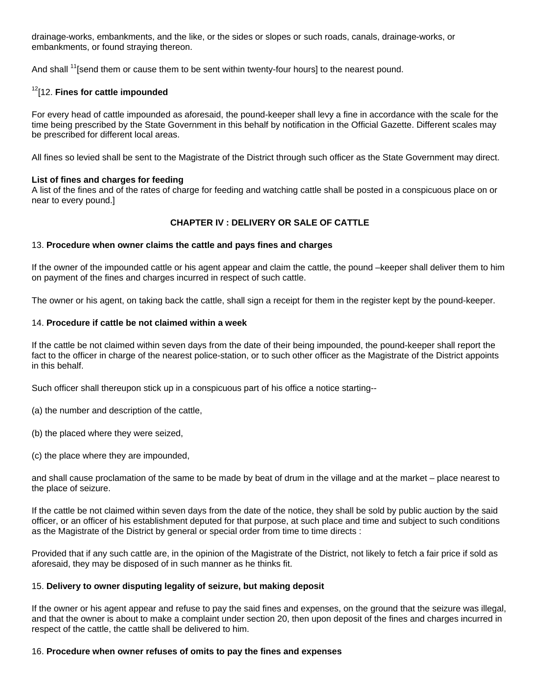drainage-works, embankments, and the like, or the sides or slopes or such roads, canals, drainage-works, or embankments, or found straying thereon.

And shall <sup>11</sup>[send them or cause them to be sent within twenty-four hours] to the nearest pound.

## 12[12. **Fines for cattle impounded**

For every head of cattle impounded as aforesaid, the pound-keeper shall levy a fine in accordance with the scale for the time being prescribed by the State Government in this behalf by notification in the Official Gazette. Different scales may be prescribed for different local areas.

All fines so levied shall be sent to the Magistrate of the District through such officer as the State Government may direct.

## **List of fines and charges for feeding**

A list of the fines and of the rates of charge for feeding and watching cattle shall be posted in a conspicuous place on or near to every pound.]

## **CHAPTER IV : DELIVERY OR SALE OF CATTLE**

## 13. **Procedure when owner claims the cattle and pays fines and charges**

If the owner of the impounded cattle or his agent appear and claim the cattle, the pound –keeper shall deliver them to him on payment of the fines and charges incurred in respect of such cattle.

The owner or his agent, on taking back the cattle, shall sign a receipt for them in the register kept by the pound-keeper.

## 14. **Procedure if cattle be not claimed within a week**

If the cattle be not claimed within seven days from the date of their being impounded, the pound-keeper shall report the fact to the officer in charge of the nearest police-station, or to such other officer as the Magistrate of the District appoints in this behalf.

Such officer shall thereupon stick up in a conspicuous part of his office a notice starting--

(a) the number and description of the cattle,

- (b) the placed where they were seized,
- (c) the place where they are impounded,

and shall cause proclamation of the same to be made by beat of drum in the village and at the market – place nearest to the place of seizure.

If the cattle be not claimed within seven days from the date of the notice, they shall be sold by public auction by the said officer, or an officer of his establishment deputed for that purpose, at such place and time and subject to such conditions as the Magistrate of the District by general or special order from time to time directs :

Provided that if any such cattle are, in the opinion of the Magistrate of the District, not likely to fetch a fair price if sold as aforesaid, they may be disposed of in such manner as he thinks fit.

#### 15. **Delivery to owner disputing legality of seizure, but making deposit**

If the owner or his agent appear and refuse to pay the said fines and expenses, on the ground that the seizure was illegal, and that the owner is about to make a complaint under section 20, then upon deposit of the fines and charges incurred in respect of the cattle, the cattle shall be delivered to him.

#### 16. **Procedure when owner refuses of omits to pay the fines and expenses**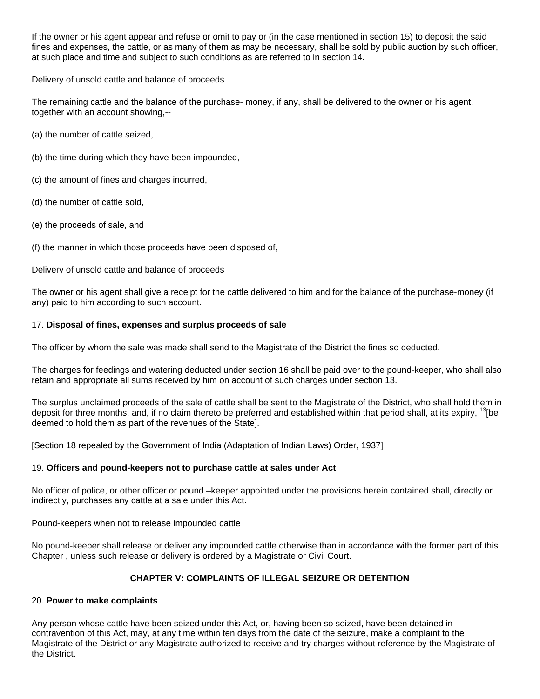If the owner or his agent appear and refuse or omit to pay or (in the case mentioned in section 15) to deposit the said fines and expenses, the cattle, or as many of them as may be necessary, shall be sold by public auction by such officer, at such place and time and subject to such conditions as are referred to in section 14.

Delivery of unsold cattle and balance of proceeds

The remaining cattle and the balance of the purchase- money, if any, shall be delivered to the owner or his agent, together with an account showing,--

(a) the number of cattle seized,

- (b) the time during which they have been impounded,
- (c) the amount of fines and charges incurred,
- (d) the number of cattle sold,
- (e) the proceeds of sale, and

(f) the manner in which those proceeds have been disposed of,

Delivery of unsold cattle and balance of proceeds

The owner or his agent shall give a receipt for the cattle delivered to him and for the balance of the purchase-money (if any) paid to him according to such account.

## 17. **Disposal of fines, expenses and surplus proceeds of sale**

The officer by whom the sale was made shall send to the Magistrate of the District the fines so deducted.

The charges for feedings and watering deducted under section 16 shall be paid over to the pound-keeper, who shall also retain and appropriate all sums received by him on account of such charges under section 13.

The surplus unclaimed proceeds of the sale of cattle shall be sent to the Magistrate of the District, who shall hold them in deposit for three months, and, if no claim thereto be preferred and established within that period shall, at its expiry,  $\frac{13}{16}$ be deemed to hold them as part of the revenues of the State].

[Section 18 repealed by the Government of India (Adaptation of Indian Laws) Order, 1937]

#### 19. **Officers and pound-keepers not to purchase cattle at sales under Act**

No officer of police, or other officer or pound –keeper appointed under the provisions herein contained shall, directly or indirectly, purchases any cattle at a sale under this Act.

Pound-keepers when not to release impounded cattle

No pound-keeper shall release or deliver any impounded cattle otherwise than in accordance with the former part of this Chapter , unless such release or delivery is ordered by a Magistrate or Civil Court.

## **CHAPTER V: COMPLAINTS OF ILLEGAL SEIZURE OR DETENTION**

#### 20. **Power to make complaints**

Any person whose cattle have been seized under this Act, or, having been so seized, have been detained in contravention of this Act, may, at any time within ten days from the date of the seizure, make a complaint to the Magistrate of the District or any Magistrate authorized to receive and try charges without reference by the Magistrate of the District.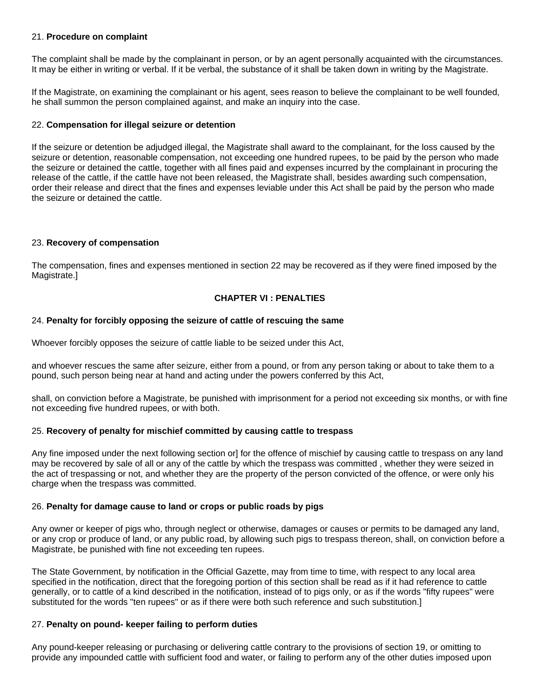### 21. **Procedure on complaint**

The complaint shall be made by the complainant in person, or by an agent personally acquainted with the circumstances. It may be either in writing or verbal. If it be verbal, the substance of it shall be taken down in writing by the Magistrate.

If the Magistrate, on examining the complainant or his agent, sees reason to believe the complainant to be well founded, he shall summon the person complained against, and make an inquiry into the case.

### 22. **Compensation for illegal seizure or detention**

If the seizure or detention be adjudged illegal, the Magistrate shall award to the complainant, for the loss caused by the seizure or detention, reasonable compensation, not exceeding one hundred rupees, to be paid by the person who made the seizure or detained the cattle, together with all fines paid and expenses incurred by the complainant in procuring the release of the cattle, if the cattle have not been released, the Magistrate shall, besides awarding such compensation, order their release and direct that the fines and expenses leviable under this Act shall be paid by the person who made the seizure or detained the cattle.

## 23. **Recovery of compensation**

The compensation, fines and expenses mentioned in section 22 may be recovered as if they were fined imposed by the Magistrate.]

## **CHAPTER VI : PENALTIES**

## 24. **Penalty for forcibly opposing the seizure of cattle of rescuing the same**

Whoever forcibly opposes the seizure of cattle liable to be seized under this Act,

and whoever rescues the same after seizure, either from a pound, or from any person taking or about to take them to a pound, such person being near at hand and acting under the powers conferred by this Act,

shall, on conviction before a Magistrate, be punished with imprisonment for a period not exceeding six months, or with fine not exceeding five hundred rupees, or with both.

#### 25. **Recovery of penalty for mischief committed by causing cattle to trespass**

Any fine imposed under the next following section or] for the offence of mischief by causing cattle to trespass on any land may be recovered by sale of all or any of the cattle by which the trespass was committed , whether they were seized in the act of trespassing or not, and whether they are the property of the person convicted of the offence, or were only his charge when the trespass was committed.

#### 26. **Penalty for damage cause to land or crops or public roads by pigs**

Any owner or keeper of pigs who, through neglect or otherwise, damages or causes or permits to be damaged any land, or any crop or produce of land, or any public road, by allowing such pigs to trespass thereon, shall, on conviction before a Magistrate, be punished with fine not exceeding ten rupees.

The State Government, by notification in the Official Gazette, may from time to time, with respect to any local area specified in the notification, direct that the foregoing portion of this section shall be read as if it had reference to cattle generally, or to cattle of a kind described in the notification, instead of to pigs only, or as if the words "fifty rupees" were substituted for the words "ten rupees" or as if there were both such reference and such substitution.]

#### 27. **Penalty on pound- keeper failing to perform duties**

Any pound-keeper releasing or purchasing or delivering cattle contrary to the provisions of section 19, or omitting to provide any impounded cattle with sufficient food and water, or failing to perform any of the other duties imposed upon